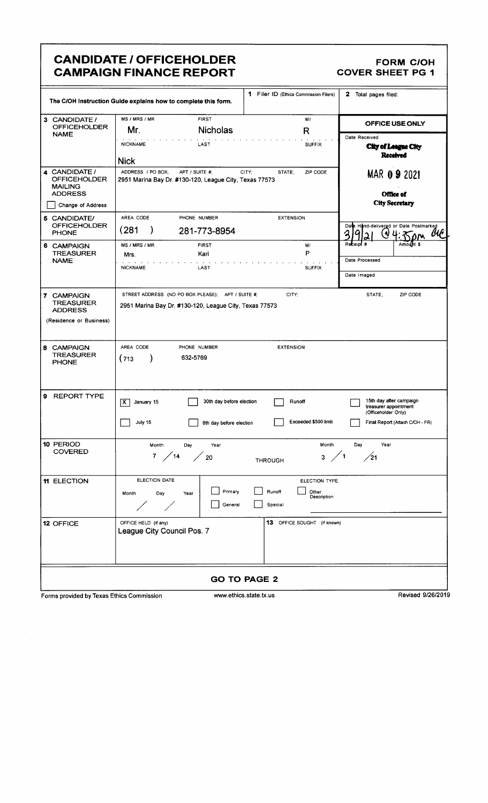### **CANDIDATE / OFFICEHOLDER CAMPAIGN FINANCE REPORT**

### **FORM C/OH COVER SHEET PG 1**

| 1 Filer ID (Ethics Commission Filers)<br>2 Total pages filed:               |                                                                                                             |                                         |                             |                                                                         |                                 |  |  |  |
|-----------------------------------------------------------------------------|-------------------------------------------------------------------------------------------------------------|-----------------------------------------|-----------------------------|-------------------------------------------------------------------------|---------------------------------|--|--|--|
| The C/OH Instruction Guide explains how to complete this form.              |                                                                                                             |                                         |                             |                                                                         |                                 |  |  |  |
| 3 CANDIDATE /<br><b>OFFICEHOLDER</b>                                        | MS / MRS / MR<br><b>FIRST</b><br>MI<br>Mr.<br><b>Nicholas</b>                                               |                                         | $\mathsf R$                 | OFFICE USE ONLY                                                         |                                 |  |  |  |
| <b>NAME</b>                                                                 | <b>NICKNAME</b><br>LAST                                                                                     |                                         | <b>SUFFIX</b>               | Date Received                                                           |                                 |  |  |  |
|                                                                             | <b>Nick</b>                                                                                                 |                                         |                             | City of League City<br><b>Received</b>                                  |                                 |  |  |  |
| 4 CANDIDATE /<br><b>OFFICEHOLDER</b><br><b>MAILING</b>                      | ADDRESS / PO BOX:<br>APT / SUITE #:<br>2951 Marina Bay Dr. #130-120, League City, Texas 77573               | CITY:<br>STATE:                         | ZIP CODE                    | MAR 0.9 2021                                                            |                                 |  |  |  |
| <b>ADDRESS</b><br>Change of Address                                         | Office of<br><b>City Secretary</b>                                                                          |                                         |                             |                                                                         |                                 |  |  |  |
| 5 CANDIDATE/                                                                | AREA CODE<br>PHONE NUMBER                                                                                   | <b>EXTENSION</b>                        |                             |                                                                         |                                 |  |  |  |
| <b>OFFICEHOLDER</b><br><b>PHONE</b>                                         | (281<br>281-773-8954<br>-)                                                                                  |                                         |                             | Date Hand-delivered or Date Postmarked                                  |                                 |  |  |  |
| 6 CAMPAIGN<br><b>TREASURER</b>                                              | MS / MRS / MR<br><b>FIRST</b>                                                                               |                                         | MI<br>P                     | Receipt                                                                 | Amount \$                       |  |  |  |
| <b>NAME</b>                                                                 | Kari<br>Mrs.<br><b>NICKNAME</b><br>LAST                                                                     | <b>SUFFIX</b>                           | Date Processed              |                                                                         |                                 |  |  |  |
|                                                                             |                                                                                                             |                                         | Date Imaged                 |                                                                         |                                 |  |  |  |
| 7 CAMPAIGN<br><b>TREASURER</b><br><b>ADDRESS</b><br>(Residence or Business) | STREET ADDRESS (NO PO BOX PLEASE); APT / SUITE #;<br>2951 Marina Bay Dr. #130-120, League City, Texas 77573 | CITY;                                   |                             | STATE;                                                                  | ZIP CODE                        |  |  |  |
| <b>CAMPAIGN</b><br>8<br><b>TREASURER</b><br><b>PHONE</b>                    | AREA CODE<br>PHONE NUMBER<br>632-5769<br>(713)                                                              | <b>EXTENSION</b>                        |                             |                                                                         |                                 |  |  |  |
| <b>REPORT TYPE</b><br>Ι9.                                                   | ΙX.<br>January 15                                                                                           | 30th day before election                | Runoff                      | 15th day after campaign<br>treasurer appointment<br>(Officeholder Only) |                                 |  |  |  |
|                                                                             | July 15                                                                                                     | 8th day before election                 | Exceeded \$500 limit        |                                                                         | Final Report (Attach C/OH - FR) |  |  |  |
| 10 PERIOD<br>COVERED                                                        | Month<br>Day<br>Year<br>7 / 14 / 20                                                                         | <b>THROUGH</b>                          | Month<br>$3 \times 1$       | Day<br>Year<br>$\frac{1}{21}$                                           |                                 |  |  |  |
| 11 ELECTION                                                                 | ELECTION DATE                                                                                               |                                         | ELECTION TYPE               |                                                                         |                                 |  |  |  |
|                                                                             | Month<br>Day<br>Year                                                                                        | Primary<br>Runoff<br>General<br>Special | Other<br>Description        |                                                                         |                                 |  |  |  |
| 12 OFFICE                                                                   | OFFICE HELD (if any)<br>League City Council Pos. 7                                                          |                                         | 13 OFFICE SOUGHT (if known) |                                                                         |                                 |  |  |  |
|                                                                             |                                                                                                             |                                         |                             |                                                                         |                                 |  |  |  |
| <b>GO TO PAGE 2</b>                                                         |                                                                                                             |                                         |                             |                                                                         |                                 |  |  |  |

Forms provided by Texas Ethics Commission

www.ethics.state.tx.us

Revised 9/26/2019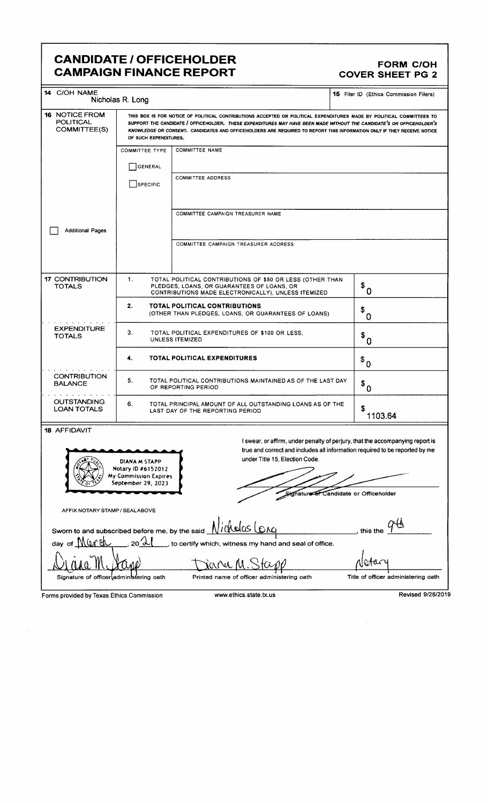### CANDIDATE / OFFICEHOLDER<br>CAMPAIGN FINANCE REPORT COVER SHEET PG 2 **CAMPAIGN FINANCE REPORT**

| 14 C/OH NAME                                                                                                 | Nicholas R. Long                                                                                                                                                                                                                                                                                                                                                                                 |                                                                                                                                                                | 15 Filer ID (Ethics Commission Filers)                                                                                                                                                    |  |  |  |
|--------------------------------------------------------------------------------------------------------------|--------------------------------------------------------------------------------------------------------------------------------------------------------------------------------------------------------------------------------------------------------------------------------------------------------------------------------------------------------------------------------------------------|----------------------------------------------------------------------------------------------------------------------------------------------------------------|-------------------------------------------------------------------------------------------------------------------------------------------------------------------------------------------|--|--|--|
| <b>16 NOTICE FROM</b><br><b>POLITICAL</b><br>COMMITTEE(S)                                                    | THIS BOX IS FOR NOTICE OF POLITICAL CONTRIBUTIONS ACCEPTED OR POLITICAL EXPENDITURES MADE BY POLITICAL COMMITTEES TO<br>SUPPORT THE CANDIDATE / OFFICEHOLDER. THESE EXPENDITURES MAY HAVE BEEN MADE WITHOUT THE CANDIDATE'S OR OFFICEHOLDER'S<br>KNOWLEDGE OR CONSENT. CANDIDATES AND OFFICEHOLDERS ARE REQUIRED TO REPORT THIS INFORMATION ONLY IF THEY RECEIVE NOTICE<br>OF SUCH EXPENDITURES. |                                                                                                                                                                |                                                                                                                                                                                           |  |  |  |
|                                                                                                              | <b>COMMITTEE TYPE</b>                                                                                                                                                                                                                                                                                                                                                                            | <b>COMMITTEE NAME</b>                                                                                                                                          |                                                                                                                                                                                           |  |  |  |
|                                                                                                              |                                                                                                                                                                                                                                                                                                                                                                                                  |                                                                                                                                                                |                                                                                                                                                                                           |  |  |  |
|                                                                                                              | <b>GENERAL</b>                                                                                                                                                                                                                                                                                                                                                                                   |                                                                                                                                                                |                                                                                                                                                                                           |  |  |  |
|                                                                                                              | SPECIFIC                                                                                                                                                                                                                                                                                                                                                                                         | <b>COMMITTEE ADDRESS</b>                                                                                                                                       |                                                                                                                                                                                           |  |  |  |
|                                                                                                              |                                                                                                                                                                                                                                                                                                                                                                                                  | COMMITTEE CAMPAIGN TREASURER NAME                                                                                                                              |                                                                                                                                                                                           |  |  |  |
| <b>Additional Pages</b>                                                                                      |                                                                                                                                                                                                                                                                                                                                                                                                  |                                                                                                                                                                |                                                                                                                                                                                           |  |  |  |
|                                                                                                              |                                                                                                                                                                                                                                                                                                                                                                                                  | COMMITTEE CAMPAIGN TREASURER ADDRESS                                                                                                                           |                                                                                                                                                                                           |  |  |  |
|                                                                                                              |                                                                                                                                                                                                                                                                                                                                                                                                  |                                                                                                                                                                |                                                                                                                                                                                           |  |  |  |
| <b>17 CONTRIBUTION</b><br><b>TOTALS</b>                                                                      | 1.                                                                                                                                                                                                                                                                                                                                                                                               | TOTAL POLITICAL CONTRIBUTIONS OF \$50 OR LESS (OTHER THAN<br>PLEDGES, LOANS, OR GUARANTEES OF LOANS, OR<br>CONTRIBUTIONS MADE ELECTRONICALLY), UNLESS ITEMIZED | $\ ^{\$}$ 0                                                                                                                                                                               |  |  |  |
| 2.<br><b>TOTAL POLITICAL CONTRIBUTIONS</b><br>\$<br>(OTHER THAN PLEDGES, LOANS, OR GUARANTEES OF LOANS)<br>0 |                                                                                                                                                                                                                                                                                                                                                                                                  |                                                                                                                                                                |                                                                                                                                                                                           |  |  |  |
| <b>EXPENDITURE</b><br><b>TOTALS</b>                                                                          | 3.                                                                                                                                                                                                                                                                                                                                                                                               | TOTAL POLITICAL EXPENDITURES OF \$100 OR LESS.<br>UNLESS ITEMIZED                                                                                              | \$<br>0                                                                                                                                                                                   |  |  |  |
|                                                                                                              | <b>TOTAL POLITICAL EXPENDITURES</b><br>4.                                                                                                                                                                                                                                                                                                                                                        |                                                                                                                                                                | $\boldsymbol{\mathsf{s}}_0$                                                                                                                                                               |  |  |  |
| <b>CONTRIBUTION</b><br><b>BALANCE</b>                                                                        | 5.<br>TOTAL POLITICAL CONTRIBUTIONS MAINTAINED AS OF THE LAST DAY<br>OF REPORTING PERIOD                                                                                                                                                                                                                                                                                                         |                                                                                                                                                                | $\boldsymbol{\mathsf{s}}_{0}$                                                                                                                                                             |  |  |  |
| <b>OUTSTANDING</b><br><b>LOAN TOTALS</b>                                                                     | 6.                                                                                                                                                                                                                                                                                                                                                                                               | TOTAL PRINCIPAL AMOUNT OF ALL OUTSTANDING LOANS AS OF THE<br>LAST DAY OF THE REPORTING PERIOD                                                                  | S<br>1103.64                                                                                                                                                                              |  |  |  |
| 18 AFFIDAVIT                                                                                                 |                                                                                                                                                                                                                                                                                                                                                                                                  |                                                                                                                                                                |                                                                                                                                                                                           |  |  |  |
|                                                                                                              | DIANA M STAPP<br>Notary ID #6152012<br>My Commission Expires<br>September 29, 2023                                                                                                                                                                                                                                                                                                               | under Title 15, Election Code.                                                                                                                                 | I swear, or affirm, under penalty of perjury, that the accompanying report is<br>true and correct and includes all information required to be reported by me<br>Candidate or Officeholder |  |  |  |
| AFFIX NOTARY STAMP / SEALABOVE                                                                               |                                                                                                                                                                                                                                                                                                                                                                                                  |                                                                                                                                                                |                                                                                                                                                                                           |  |  |  |
|                                                                                                              |                                                                                                                                                                                                                                                                                                                                                                                                  | Sworn to and subscribed before me, by the said Nickolas LOAG                                                                                                   | this the                                                                                                                                                                                  |  |  |  |
| day of Murch<br>20 J<br>, to certify which, witness my hand and seal of office.                              |                                                                                                                                                                                                                                                                                                                                                                                                  |                                                                                                                                                                |                                                                                                                                                                                           |  |  |  |
|                                                                                                              |                                                                                                                                                                                                                                                                                                                                                                                                  |                                                                                                                                                                |                                                                                                                                                                                           |  |  |  |

Lina M. Lapp Daniel M. Stapp Netary Signature of officer administering oath Printed name of officer administering oath Title of officer administering oath

Forms provided by Texas Ethics Commission www.ethics.state.tx.us Revised 9/26/2019